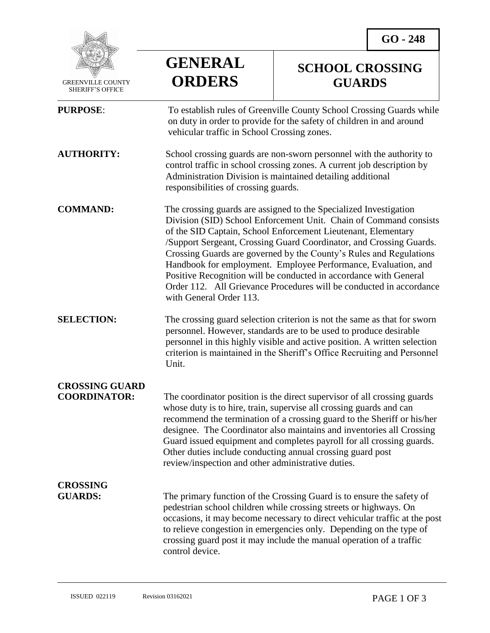

 GREENVILLE COUNTY SHERIFF'S OFFICE

## **GENERAL ORDERS**

## **SCHOOL CROSSING GUARDS**

| <b>PURPOSE:</b>                              | To establish rules of Greenville County School Crossing Guards while<br>on duty in order to provide for the safety of children in and around<br>vehicular traffic in School Crossing zones.                                                                                                                                                                                                                                                                                                                                                                                                   |
|----------------------------------------------|-----------------------------------------------------------------------------------------------------------------------------------------------------------------------------------------------------------------------------------------------------------------------------------------------------------------------------------------------------------------------------------------------------------------------------------------------------------------------------------------------------------------------------------------------------------------------------------------------|
| <b>AUTHORITY:</b>                            | School crossing guards are non-sworn personnel with the authority to<br>control traffic in school crossing zones. A current job description by<br>Administration Division is maintained detailing additional<br>responsibilities of crossing guards.                                                                                                                                                                                                                                                                                                                                          |
| <b>COMMAND:</b>                              | The crossing guards are assigned to the Specialized Investigation<br>Division (SID) School Enforcement Unit. Chain of Command consists<br>of the SID Captain, School Enforcement Lieutenant, Elementary<br>/Support Sergeant, Crossing Guard Coordinator, and Crossing Guards.<br>Crossing Guards are governed by the County's Rules and Regulations<br>Handbook for employment. Employee Performance, Evaluation, and<br>Positive Recognition will be conducted in accordance with General<br>Order 112. All Grievance Procedures will be conducted in accordance<br>with General Order 113. |
| <b>SELECTION:</b>                            | The crossing guard selection criterion is not the same as that for sworn<br>personnel. However, standards are to be used to produce desirable<br>personnel in this highly visible and active position. A written selection<br>criterion is maintained in the Sheriff's Office Recruiting and Personnel<br>Unit.                                                                                                                                                                                                                                                                               |
| <b>CROSSING GUARD</b><br><b>COORDINATOR:</b> | The coordinator position is the direct supervisor of all crossing guards<br>whose duty is to hire, train, supervise all crossing guards and can<br>recommend the termination of a crossing guard to the Sheriff or his/her<br>designee. The Coordinator also maintains and inventories all Crossing<br>Guard issued equipment and completes payroll for all crossing guards.<br>Other duties include conducting annual crossing guard post<br>review/inspection and other administrative duties.                                                                                              |
| <b>CROSSING</b><br><b>GUARDS:</b>            | The primary function of the Crossing Guard is to ensure the safety of<br>pedestrian school children while crossing streets or highways. On<br>occasions, it may become necessary to direct vehicular traffic at the post<br>to relieve congestion in emergencies only. Depending on the type of<br>crossing guard post it may include the manual operation of a traffic<br>control device.                                                                                                                                                                                                    |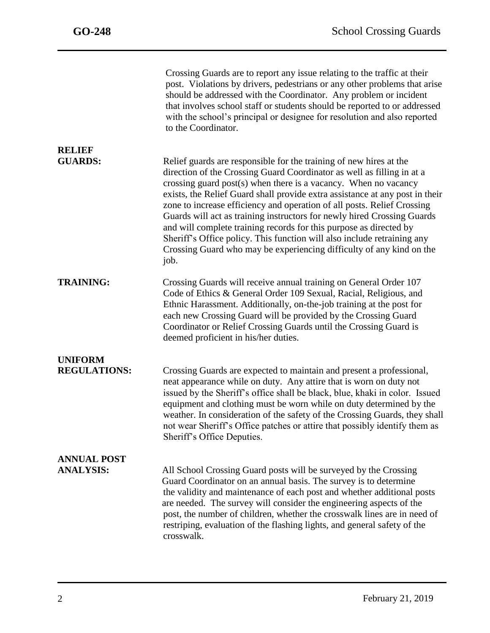j

|                                        | Crossing Guards are to report any issue relating to the traffic at their<br>post. Violations by drivers, pedestrians or any other problems that arise<br>should be addressed with the Coordinator. Any problem or incident<br>that involves school staff or students should be reported to or addressed<br>with the school's principal or designee for resolution and also reported<br>to the Coordinator.                                                                                                                                                                                                                                                                             |
|----------------------------------------|----------------------------------------------------------------------------------------------------------------------------------------------------------------------------------------------------------------------------------------------------------------------------------------------------------------------------------------------------------------------------------------------------------------------------------------------------------------------------------------------------------------------------------------------------------------------------------------------------------------------------------------------------------------------------------------|
| <b>RELIEF</b><br><b>GUARDS:</b>        | Relief guards are responsible for the training of new hires at the<br>direction of the Crossing Guard Coordinator as well as filling in at a<br>crossing guard post(s) when there is a vacancy. When no vacancy<br>exists, the Relief Guard shall provide extra assistance at any post in their<br>zone to increase efficiency and operation of all posts. Relief Crossing<br>Guards will act as training instructors for newly hired Crossing Guards<br>and will complete training records for this purpose as directed by<br>Sheriff's Office policy. This function will also include retraining any<br>Crossing Guard who may be experiencing difficulty of any kind on the<br>job. |
| <b>TRAINING:</b>                       | Crossing Guards will receive annual training on General Order 107<br>Code of Ethics & General Order 109 Sexual, Racial, Religious, and<br>Ethnic Harassment. Additionally, on-the-job training at the post for<br>each new Crossing Guard will be provided by the Crossing Guard<br>Coordinator or Relief Crossing Guards until the Crossing Guard is<br>deemed proficient in his/her duties.                                                                                                                                                                                                                                                                                          |
| <b>UNIFORM</b><br><b>REGULATIONS:</b>  | Crossing Guards are expected to maintain and present a professional,<br>neat appearance while on duty. Any attire that is worn on duty not<br>issued by the Sheriff's office shall be black, blue, khaki in color. Issued<br>equipment and clothing must be worn while on duty determined by the<br>weather. In consideration of the safety of the Crossing Guards, they shall<br>not wear Sheriff's Office patches or attire that possibly identify them as<br>Sheriff's Office Deputies.                                                                                                                                                                                             |
| <b>ANNUAL POST</b><br><b>ANALYSIS:</b> | All School Crossing Guard posts will be surveyed by the Crossing<br>Guard Coordinator on an annual basis. The survey is to determine<br>the validity and maintenance of each post and whether additional posts<br>are needed. The survey will consider the engineering aspects of the<br>post, the number of children, whether the crosswalk lines are in need of<br>restriping, evaluation of the flashing lights, and general safety of the<br>crosswalk.                                                                                                                                                                                                                            |